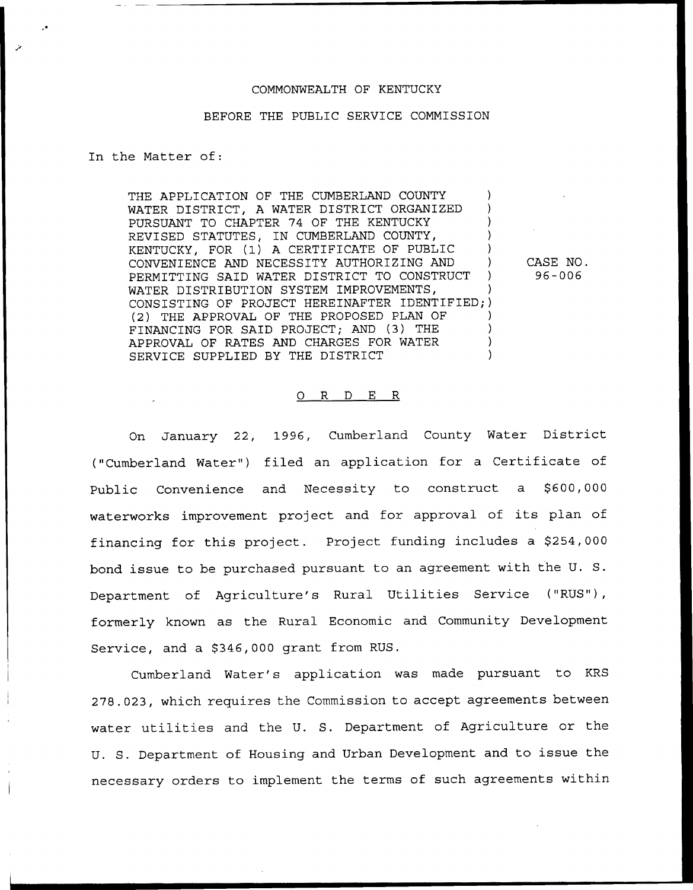## COMMONWEALTH OF KENTUCKY

## BEFORE THE PUBLIC SERVICE COMMISSION

In the Matter of:

THE APPLICATION OF THE CUMBERLAND COUNTY WATER DISTRICT, A WATER DISTRICT ORGANIZED PURSUANT TO CHAPTER 74 OF THE KENTUCKY REVISED STATUTES, IN CUMBERLAND COUNTY, KENTUCKY, FOR (1) <sup>A</sup> CERTIFICATE OF PUBLIC ) CONVENIENCE AND NECESSITY AUTHORIZING AND ) PERMITTING SAID WATER DISTRICT TO CONSTRUCT WATER DISTRIBUTION SYSTEM IMPROVEMENTS, CONSISTING OF PROJECT HEREINAFTER IDENTIFIED; ) (2) THE APPROVAL OF THE PROPOSED PLAN OF FINANCING FOR SAID PROJECT; AND (3) THE ) APPROVAL OF RATES AND CHARGES FOR WATER SERVICE SUPPLIED BY THE DISTRICT

CASE NO. 96-006

## 0 R <sup>D</sup> E R

On January 22, 1996, Cumberland County Water District ("Cumberland Water") filed an application for a Certificate of Public Convenience and Necessity to construct a \$600,000 waterworks improvement project and for approval of its plan of financing for this project. Project funding includes a \$254,000 bond issue to be purchased pursuant to an agreement with the U. S. Department of Agriculture's Rural Utilities Service ("RUS"), formerly known as the Rural Economic and Community Development Service, and a \$346,000 grant from RUS.

Cumberland Water's application was made pursuant to KRS 278.023, which requires the Commission to accept agreements between water utilities and the U. S. Department of Agriculture or the U. S. Department of Housing and Urban Development and to issue the necessary orders to implement the terms of such agreements within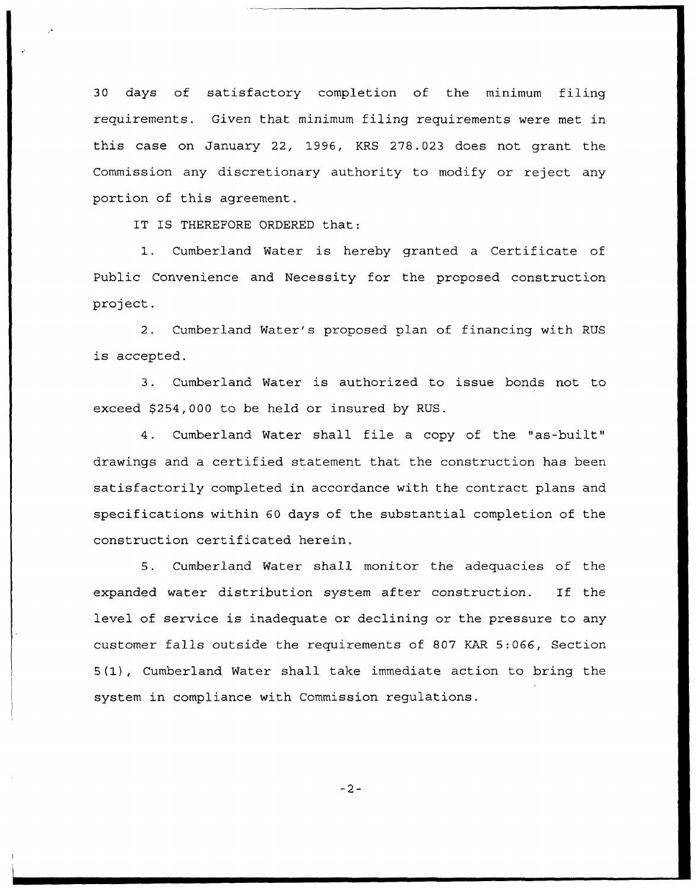30 days of satisfactory completion of the minimum filing requirements. Given that minimum filing requirements were met in this case on January 22, 1996, KRS 278.023 does not grant the Commission any discretionary authority to modify or reject any portion of this agreement.

IT IS THEREFORE ORDERED that:

1. Cumberland Water is hereby granted <sup>a</sup> Certificate of Public Convenience and Necessity for the proposed construction project.

2. Cumberland Water's proposed plan of financing with RUS is accepted.

3. Cumberland Water is authorized to issue bonds not to exceed \$254,000 to be held or insured by RUS.

4. Cumberland Water shall file <sup>a</sup> copy of the "as-built" drawings and a certified statement that the construction has been satisfactorily completed in accordance with the contract plans and specifications within 60 days of the substantial completion of the construction certificated herein.

5. Cumberland Water shall monitor the adequacies of the expanded water distribution system after construction. If the level of service is inadequate or declining or the pressure to any customer falls outside the requirements of 807 KAR 5:066, Section 5(1), Cumberland Water shall take immediate action to bring the system in compliance with Commission regulations.

 $-2-$